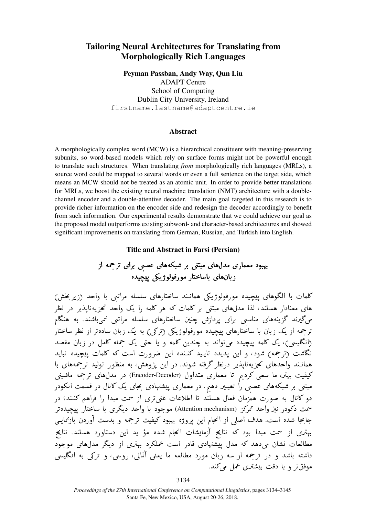# Tailoring Neural Architectures for Translating from Morphologically Rich Languages

Peyman Passban, Andy Way, Qun Liu ADAPT Centre School of Computing Dublin City University, Ireland firstname.lastname@adaptcentre.ie

# Abstract

A morphologically complex word (MCW) is a hierarchical constituent with meaning-preserving subunits, so word-based models which rely on surface forms might not be powerful enough to translate such structures. When translating *from* morphologically rich languages (MRLs), a source word could be mapped to several words or even a full sentence on the target side, which means an MCW should not be treated as an atomic unit. In order to provide better translations for MRLs, we boost the existing neural machine translation (NMT) architecture with a doublechannel encoder and a double-attentive decoder. The main goal targeted in this research is to provide richer information on the encoder side and redesign the decoder accordingly to benefit from such information. Our experimental results demonstrate that we could achieve our goal as the proposed model outperforms existing subword- and character-based architectures and showed significant improvements on translating from German, Russian, and Turkish into English.

### Title and Abstract in Farsi (Persian)

بهبود معماری مدلهای مبتنی بر شبکههای عصبی برای ترجمه از . j .  $\overline{a}$ j . ح مدرهای مبنتی بر سبک های عصبی بر<br>زبانهای باساختار مورفولوژیکی پیچیده  $\ddot{\phantom{0}}$ .<br>J -<br>J .

كلمات با الگوهاى پيچيده مورفولوژيكى همانـند ساختارهاى سلسله مراتبى با واحد (زير بخش)  $\overline{\phantom{a}}$ . .<br>.<br>.  $\overline{a}$ J  $\overline{a}$ .<br>ر نسات با انگوهای پیچیده مورفونوزیتی همانند ساختارهای سنسته مراتبی با واحد زریر حس)<br>های معنادار هستند، لذا مدلهای مبتنی بر کلمات که هر کلمه را یک واحد تجزیهنایذیر در نظر ֚֞֘  $\overline{\phantom{a}}$ ر<br>په A ֖֚֚֚֚֚֚֚֚֚֚֚֚֚֚֚֡֝֝֝֝֝֝֝֝֝֝֝֝֝<del>֟</del> <u>ر</u> .<br>.. ؘؚ<br>ؘ .<br>.. . J ر<br>. های معددار هستند، ندا مدرهای مبنی بر نتمات نه هر نتمه را یک واحد حجریه پدیر در نظر<br>میگیرند گزینههای مناسبی برای پردازش چنین ساختارهای سلسله مراتبی نمیباشند. به هنگام .  $\ddot{\cdot}$ ֦ .<br>.<br>.  $\ddot{ }$  $\ddot{\ddot{\ }}$ J  $\ddot{\cdot}$ .<br>. . ֦֧֦֦֦֦֦֦֦֦֦֦֦֦֦֦֦֦֦֦֦֦֦֦֦֦֦֦֦֦ ń ن نیزنند کرینههای هنتستی برای پردارس چنین ساختارهای سنسته مراتبی میباشند. به هنتم<br>رجمه از یک زبان با ساختارهای پیچیده مورفولوژیکی (ترکی) به یک زبان سادهتر از نظر ساختار  $\ddot{\ddot{\ }}$ ֦֘ .<br>ز . . .<br>J .<br>.. . .<br>. . . ∑<br>. .<br>ت ىر مه از يت زبان با ساختارهاى پيچينه مورفوتورينى زىرىي) به يت زبان سادەتر از نظر ساختار<br>(انگلیسى)، يک کلمه پيچیده مىتواند به چندین کلمه و یا حتى یک جمله کامل در زبان مقصد .<br>.. ֦֧֦֧֦֧֦֧֦֧֦֧֚֚֡ . ر<br>په  $\overline{a}$ <u>،</u> <u>بہ</u> ر<br>ن ֖֪֪֪ׅ֦֧֪֪֪֦֪֪֪֦֖֪֪֪֦֖֧֪֪֪֪֪֪֪֪֪֦֧֪֪֪֪֪֪֪֪֪֪֪֪֦֧֚֚֚֚֚֚֚֚֚֚֚֚֚֚֚֚֡֝֝֝֝֝֝֝֬֝֝֬֝֬֝֬֝֬֝֬֝֬֝֟֝֬ .<br>ر بہ<br>پ ر<br>په الکلیسی)، یک تلمه پیچیده می تواند به چندین تلمه و یا حتی یک متمه تامل در ربان مقصد<br>نگاشت (ترحمه) شود، و این یدیده تایید کننده این ضرورت است که کلمات ییچیده نباید ر<br>پ . .<br>.  $\overline{a}$ .<br>ر یا ֖֚֚֚֚֚֚֚֚֚֚֚֚֚֡֝֝֝֝֝֝<br>֧֚֝<br>֧֚֚֝  $\cdot$ <u>ر</u> A .<br>. یا ر<br>پ . .<br>. .<br>j نگاست (ترجمه) سود، و این پدیده نایید تشده این صرورت است به تنهات پیچیده تباید<br>همانـند واحدهای تحزیهناپذیر درنظر گرفته شوند. در این پژوهش، به منظور تولید ترجمههای با . با<br>..  $\ddot{\cdot}$  $\overline{a}$ . ر<br>پ Ĭ. .<br>ม :<br>.  $\ddot{\phantom{0}}$ י<br>י ر<br>پ A ֚֚֚֚֚֚֚֚֚֡ <u>،</u>  $\overline{a}$ ֦֚֞ همانند واحدهای حریه بایدیر درنصر ترقیه سوند. در این پروهس، به منطور نوئید ترجمه ماشینی<br>کیفیت بهتر، ما سعی کردیم تا معماری متداول (Encoder-Decoder) در مدلهای ترجمه ماشینی  $\overline{a}$  $\cdot$ . j.  $\ddot{\ }$ .<br>. ֦֧֦֧֦֦֧֦֧֦֧֦֧֦֧֦֦֧֦֦֦֦֦֦֦֦֦֦֜֡֜ י<br>. ŗ تیسیت بهتر، ما شعبی ترتیم تا معماری متداون (Encoder-Decoder) در مدرهمای تربیمه ماسیتی<br>مبتنی بر شبکههای عصبی را تغییر دهیم. در معماری پیشنهادی بحای یک کانال در قسمت انکودر .<br>.. ر<br>په ٳ .<br>ر i  $\ddot{\cdot}$ ֞֘ .<br>.. . ֦֦֪֪֪֪֪֪֦֚֞֟֝֝֟֝֟֝֝**֕** . مبسی بر سبب های عصبی را تعییر دهیم . در معماری پیسهادی جبی یب 000 در قسمت انگودر<br>دو کانال به صورت همزمان فعال هستند تا اطلاعات غنی تری از سمت مبدا را فراهم کنـند؛ در ֖֚֚֚֬ -<br>. .<br>.  $\vdots$ .<br>.. ֚֚֡֬<br>֚ و کانال به صورت همزمان فعال هستند تا اطلاعات عنیتری از سمت مبدأ را فراهم کنند؛ در<br>مت دکودر نیز واحد تمرکز (Attention mechanism) موجود با واحد دیگری با ساختار پیچیدهتر .<br>.  $\overline{a}$ .<br>J <u>ر</u> J ń ֪֚֞֘  $\overline{a}$ ۔<br>د سمت دنودر نیر واحد نمرتز (Attention mecnanism) موجود با واحد دیگری با ساختار پیچیده بر<br>جابجا شده است. هدف اصلی از انجام این پروژه بهبود کیفیت ترجمه و بدست آوردن بازنمایی  $\overline{\phantom{a}}$ ا.<br>^ . .<br>..  $\overline{a}$  $\ddot{\cdot}$ ֦  $\overline{a}$ è ر<br>پ ו<br>י @ . . l . ب ب سال سنگ است. هند سنگی از سب این پروره بهبود عیمیت مربته و بنسب اورون بارسیم<br>بهتری از سمت مبدا بود که نتایج آزمایشات انجام شده مؤ ید این دستاورد هستند. نتایج  $\vdots$ A .<br>.  $\ddot{\cdot}$ ֖֖֖֖֪ׅ֪֪ׅ֚֚֚֚֚֚֚֡֝֝֝֝**֚**  $\ddot{\cdot}$ .<br>. ر<br>پ یا ۔<br>ء  $\overline{a}$ ړ  $\ddot{\cdot}$ A  $\overline{\phantom{a}}$ J ,<br>. . l, .<br>. بهدی از سمت سبته بود که سمیم ازمایست اسبام ستند سو پیدابیل مستورد مستند. سمیم<br>مطالعات نشان میدهد که مدل پیشنهادی قادر است عملکرد بهتری از دیگر مدلهای موجود .<br>. .<br>. ۔<br>یہ .<br>ر  $\overline{a}$ مصالحات نسان میدهد که مدل پیشنهادی قادر است متمرز بهاری از دیگر مدلهای موجود<br>داشته باشد و در ترجمه از سه زبان مورد مطالعه ما یعنی آلمانی، روسی، و ترکی به انگلیسی ĺ  $\overline{\phantom{a}}$ ر<br>پ . . .<br>. . .<br>. j<br>J داسته باسد و در بر جمه از سه زبان<br>موفقتر و با دقت بیشتری عمل میکند.  $\ddot{\cdot}$ ړ .<br>س j  $\overline{a}$ .<br>ت ا<br>. ֦֧֝

3134

*Proceedings of the 27th International Conference on Computational Linguistics*, pages 3134–3145 Santa Fe, New Mexico, USA, August 20-26, 2018.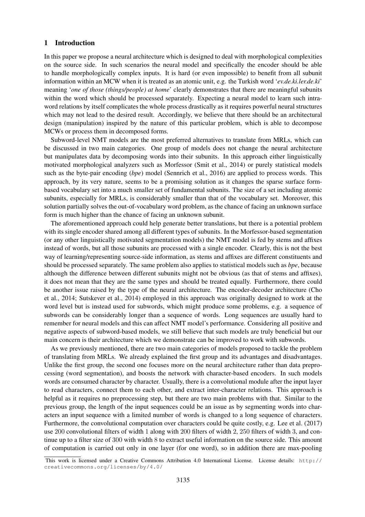#### 1 Introduction

In this paper we propose a neural architecture which is designed to deal with morphological complexities on the source side. In such scenarios the neural model and specifically the encoder should be able to handle morphologically complex inputs. It is hard (or even impossible) to benefit from all subunit information within an MCW when it is treated as an atomic unit, e.g. the Turkish word '*ev.de.ki.ler.de.ki*' meaning '*one of those (things/people) at home*' clearly demonstrates that there are meaningful subunits within the word which should be processed separately. Expecting a neural model to learn such intraword relations by itself complicates the whole process drastically as it requires powerful neural structures which may not lead to the desired result. Accordingly, we believe that there should be an architectural design (manipulation) inspired by the nature of this particular problem, which is able to decompose MCWs or process them in decomposed forms.

Subword-level NMT models are the most preferred alternatives to translate from MRLs, which can be discussed in two main categories. One group of models does not change the neural architecture but manipulates data by decomposing words into their subunits. In this approach either linguistically motivated morphological analyzers such as Morfessor (Smit et al., 2014) or purely statistical models such as the byte-pair encoding (*bpe*) model (Sennrich et al., 2016) are applied to process words. This approach, by its very nature, seems to be a promising solution as it changes the sparse surface formbased vocabulary set into a much smaller set of fundamental subunits. The size of a set including atomic subunits, especially for MRLs, is considerably smaller than that of the vocabulary set. Moreover, this solution partially solves the out-of-vocabulary word problem, as the chance of facing an unknown surface form is much higher than the chance of facing an unknown subunit.

The aforementioned approach could help generate better translations, but there is a potential problem with its single encoder shared among all different types of subunits. In the Morfessor-based segmentation (or any other linguistically motivated segmentation models) the NMT model is fed by stems and affixes instead of words, but all those subunits are processed with a single encoder. Clearly, this is not the best way of learning/representing source-side information, as stems and affixes are different constituents and should be processed separately. The same problem also applies to statistical models such as *bpe*, because although the difference between different subunits might not be obvious (as that of stems and affixes), it does not mean that they are the same types and should be treated equally. Furthermore, there could be another issue raised by the type of the neural architecture. The encoder-decoder architecture (Cho et al., 2014; Sutskever et al., 2014) employed in this approach was originally designed to work at the word level but is instead used for subwords, which might produce some problems, e.g. a sequence of subwords can be considerably longer than a sequence of words. Long sequences are usually hard to remember for neural models and this can affect NMT model's performance. Considering all positive and negative aspects of subword-based models, we still believe that such models are truly beneficial but our main concern is their architecture which we demonstrate can be improved to work with subwords.

As we previously mentioned, there are two main categories of models proposed to tackle the problem of translating from MRLs. We already explained the first group and its advantages and disadvantages. Unlike the first group, the second one focuses more on the neural architecture rather than data preprocessing (word segmentation), and boosts the network with character-based encoders. In such models words are consumed character by character. Usually, there is a convolutional module after the input layer to read characters, connect them to each other, and extract inter-character relations. This approach is helpful as it requires no preprocessing step, but there are two main problems with that. Similar to the previous group, the length of the input sequences could be an issue as by segmenting words into characters an input sequence with a limited number of words is changed to a long sequence of characters. Furthermore, the convolutional computation over characters could be quite costly, e.g. Lee et al. (2017) use 200 convolutional filters of width 1 along with 200 filters of width 2, 250 filters of width 3, and continue up to a filter size of 300 with width 8 to extract useful information on the source side. This amount of computation is carried out only in one layer (for one word), so in addition there are max-pooling

This work is licensed under a Creative Commons Attribution 4.0 International License. License details: http:// creativecommons.org/licenses/by/4.0/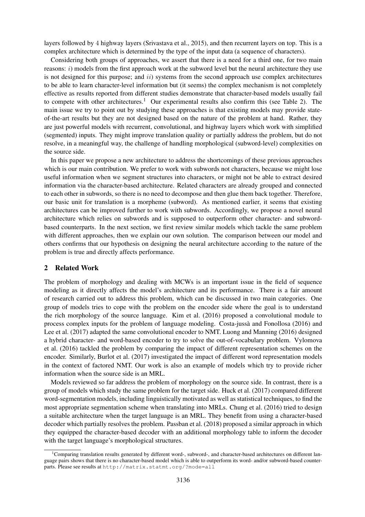layers followed by 4 highway layers (Srivastava et al., 2015), and then recurrent layers on top. This is a complex architecture which is determined by the type of the input data (a sequence of characters).

Considering both groups of approaches, we assert that there is a need for a third one, for two main reasons:  $i$ ) models from the first approach work at the subword level but the neural architecture they use is not designed for this purpose; and *ii*) systems from the second approach use complex architectures to be able to learn character-level information but (it seems) the complex mechanism is not completely effective as results reported from different studies demonstrate that character-based models usually fail to compete with other architectures.<sup>1</sup> Our experimental results also confirm this (see Table 2). The main issue we try to point out by studying these approaches is that existing models may provide stateof-the-art results but they are not designed based on the nature of the problem at hand. Rather, they are just powerful models with recurrent, convolutional, and highway layers which work with simplified (segmented) inputs. They might improve translation quality or partially address the problem, but do not resolve, in a meaningful way, the challenge of handling morphological (subword-level) complexities on the source side.

In this paper we propose a new architecture to address the shortcomings of these previous approaches which is our main contribution. We prefer to work with subwords not characters, because we might lose useful information when we segment structures into characters, or might not be able to extract desired information via the character-based architecture. Related characters are already grouped and connected to each other in subwords, so there is no need to decompose and then glue them back together. Therefore, our basic unit for translation is a morpheme (subword). As mentioned earlier, it seems that existing architectures can be improved further to work with subwords. Accordingly, we propose a novel neural architecture which relies on subwords and is supposed to outperform other character- and subwordbased counterparts. In the next section, we first review similar models which tackle the same problem with different approaches, then we explain our own solution. The comparison between our model and others confirms that our hypothesis on designing the neural architecture according to the nature of the problem is true and directly affects performance.

# 2 Related Work

The problem of morphology and dealing with MCWs is an important issue in the field of sequence modeling as it directly affects the model's architecture and its performance. There is a fair amount of research carried out to address this problem, which can be discussed in two main categories. One group of models tries to cope with the problem on the encoder side where the goal is to understand the rich morphology of the source language. Kim et al. (2016) proposed a convolutional module to process complex inputs for the problem of language modeling. Costa-jussa and Fonollosa (2016) and ` Lee et al. (2017) adapted the same convolutional encoder to NMT. Luong and Manning (2016) designed a hybrid character- and word-based encoder to try to solve the out-of-vocabulary problem. Vylomova et al. (2016) tackled the problem by comparing the impact of different representation schemes on the encoder. Similarly, Burlot et al. (2017) investigated the impact of different word representation models in the context of factored NMT. Our work is also an example of models which try to provide richer information when the source side is an MRL.

Models reviewed so far address the problem of morphology on the source side. In contrast, there is a group of models which study the same problem for the target side. Huck et al. (2017) compared different word-segmentation models, including linguistically motivated as well as statistical techniques, to find the most appropriate segmentation scheme when translating into MRLs. Chung et al. (2016) tried to design a suitable architecture when the target language is an MRL. They benefit from using a character-based decoder which partially resolves the problem. Passban et al. (2018) proposed a similar approach in which they equipped the character-based decoder with an additional morphology table to inform the decoder with the target language's morphological structures.

<sup>&</sup>lt;sup>1</sup>Comparing translation results generated by different word-, subword-, and character-based architectures on different language pairs shows that there is no character-based model which is able to outperform its word- and/or subword-based counterparts. Please see results at http://matrix.statmt.org/?mode=all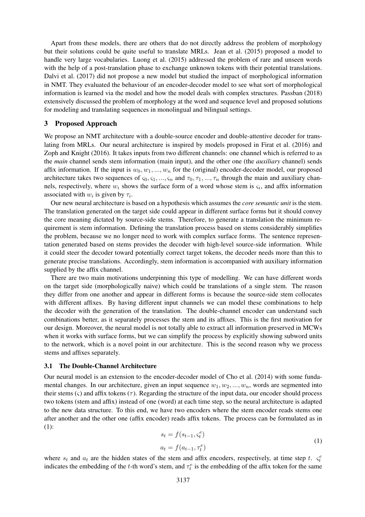Apart from these models, there are others that do not directly address the problem of morphology but their solutions could be quite useful to translate MRLs. Jean et al. (2015) proposed a model to handle very large vocabularies. Luong et al. (2015) addressed the problem of rare and unseen words with the help of a post-translation phase to exchange unknown tokens with their potential translations. Dalvi et al. (2017) did not propose a new model but studied the impact of morphological information in NMT. They evaluated the behaviour of an encoder-decoder model to see what sort of morphological information is learned via the model and how the model deals with complex structures. Passban (2018) extensively discussed the problem of morphology at the word and sequence level and proposed solutions for modeling and translating sequences in monolingual and bilingual settings.

### 3 Proposed Approach

We propose an NMT architecture with a double-source encoder and double-attentive decoder for translating from MRLs. Our neural architecture is inspired by models proposed in Firat et al. (2016) and Zoph and Knight (2016). It takes inputs from two different channels: one channel which is referred to as the *main* channel sends stem information (main input), and the other one (the *auxiliary* channel) sends affix information. If the input is  $w_0, w_1, ..., w_n$  for the (original) encoder-decoder model, our proposed architecture takes two sequences of  $\varsigma_0, \varsigma_1, ..., \varsigma_n$  and  $\tau_0, \tau_1, ..., \tau_n$  through the main and auxiliary channels, respectively, where  $w_i$  shows the surface form of a word whose stem is  $\varsigma_i$ , and affix information associated with  $w_i$  is given by  $\tau_i$ .

Our new neural architecture is based on a hypothesis which assumes the *core semantic unit* is the stem. The translation generated on the target side could appear in different surface forms but it should convey the core meaning dictated by source-side stems. Therefore, to generate a translation the minimum requirement is stem information. Defining the translation process based on stems considerably simplifies the problem, because we no longer need to work with complex surface forms. The sentence representation generated based on stems provides the decoder with high-level source-side information. While it could steer the decoder toward potentially correct target tokens, the decoder needs more than this to generate precise translations. Accordingly, stem information is accompanied with auxiliary information supplied by the affix channel.

There are two main motivations underpinning this type of modelling. We can have different words on the target side (morphologically naive) which could be translations of a single stem. The reason they differ from one another and appear in different forms is because the source-side stem collocates with different affixes. By having different input channels we can model these combinations to help the decoder with the generation of the translation. The double-channel encoder can understand such combinations better, as it separately processes the stem and its affixes. This is the first motivation for our design. Moreover, the neural model is not totally able to extract all information preserved in MCWs when it works with surface forms, but we can simplify the process by explicitly showing subword units to the network, which is a novel point in our architecture. This is the second reason why we process stems and affixes separately.

#### 3.1 The Double-Channel Architecture

Our neural model is an extension to the encoder-decoder model of Cho et al. (2014) with some fundamental changes. In our architecture, given an input sequence  $w_1, w_2, ..., w_n$ , words are segmented into their stems ( $\varsigma$ ) and affix tokens ( $\tau$ ). Regarding the structure of the input data, our encoder should process two tokens (stem and affix) instead of one (word) at each time step, so the neural architecture is adapted to the new data structure. To this end, we have two encoders where the stem encoder reads stems one after another and the other one (affix encoder) reads affix tokens. The process can be formulated as in (1):

$$
s_t = f(s_{t-1}, \varsigma_t^e)
$$
  
\n
$$
a_t = f(a_{t-1}, \tau_t^e)
$$
\n(1)

where  $s_t$  and  $a_t$  are the hidden states of the stem and affix encoders, respectively, at time step t.  $\varsigma_t^{\epsilon}$ indicates the embedding of the t-th word's stem, and  $\tau_t^e$  is the embedding of the affix token for the same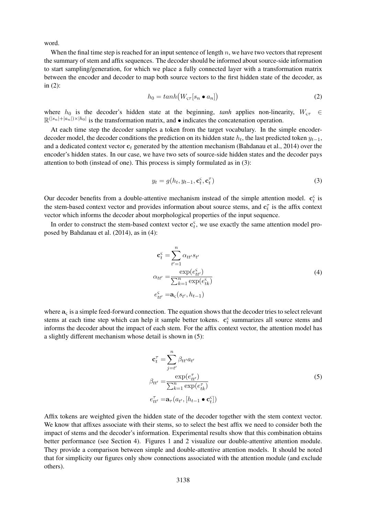word.

When the final time step is reached for an input sentence of length  $n$ , we have two vectors that represent the summary of stem and affix sequences. The decoder should be informed about source-side information to start sampling/generation, for which we place a fully connected layer with a transformation matrix between the encoder and decoder to map both source vectors to the first hidden state of the decoder, as in (2):

$$
h_0 = \tanh\left(W_{\varsigma\tau}[s_n \bullet a_n]\right) \tag{2}
$$

where  $h_0$  is the decoder's hidden state at the beginning, *tanh* applies non-linearity,  $W_{\varsigma\tau} \in$  $\mathbb{R}^{(|s_n|+|a_n|)\times|h_0|}$  is the transformation matrix, and  $\bullet$  indicates the concatenation operation.

At each time step the decoder samples a token from the target vocabulary. In the simple encoderdecoder model, the decoder conditions the prediction on its hidden state  $h_t$ , the last predicted token  $y_{t-1}$ , and a dedicated context vector  $c_t$  generated by the attention mechanism (Bahdanau et al., 2014) over the encoder's hidden states. In our case, we have two sets of source-side hidden states and the decoder pays attention to both (instead of one). This process is simply formulated as in (3):

$$
y_t = g(h_t, y_{t-1}, \mathbf{c}_t^{\varsigma}, \mathbf{c}_t^{\tau})
$$
\n(3)

Our decoder benefits from a double-attentive mechanism instead of the simple attention model.  $\mathbf{c}_t^{\varsigma}$  is the stem-based context vector and provides information about source stems, and  $\mathbf{c}_t^{\tau}$  is the affix context vector which informs the decoder about morphological properties of the input sequence.

In order to construct the stem-based context vector  $\mathbf{c}_t^{\varsigma}$ , we use exactly the same attention model proposed by Bahdanau et al. (2014), as in (4):

$$
\mathbf{c}_{t}^{\varsigma} = \sum_{t'=1}^{n} \alpha_{tt'} s_{t'}
$$
\n
$$
\alpha_{tt'} = \frac{\exp(e_{tt'}^{\varsigma})}{\sum_{k=1}^{n} \exp(e_{tk}^{\varsigma})}
$$
\n
$$
e_{tt'}^{\varsigma} = \mathbf{a}_{\varsigma}(s_{t'}, h_{t-1})
$$
\n(4)

where  $a_{\varsigma}$  is a simple feed-forward connection. The equation shows that the decoder tries to select relevant stems at each time step which can help it sample better tokens.  $\mathbf{c}_t^{\varsigma}$  summarizes all source stems and informs the decoder about the impact of each stem. For the affix context vector, the attention model has a slightly different mechanism whose detail is shown in (5):

$$
\mathbf{c}_{t}^{\tau} = \sum_{j=t'}^{n} \beta_{tt'} a_{t'}
$$
  
\n
$$
\beta_{tt'} = \frac{\exp(e_{tt'}^{\tau})}{\sum_{k=1}^{n} \exp(e_{tk}^{\tau})}
$$
  
\n
$$
e_{tt'}^{\tau} = \mathbf{a}_{\tau}(a_{t'}, [h_{t-1} \bullet \mathbf{c}_{t}^{\varsigma}])
$$
\n(5)

Affix tokens are weighted given the hidden state of the decoder together with the stem context vector. We know that affixes associate with their stems, so to select the best affix we need to consider both the impact of stems and the decoder's information. Experimental results show that this combination obtains better performance (see Section 4). Figures 1 and 2 visualize our double-attentive attention module. They provide a comparison between simple and double-attentive attention models. It should be noted that for simplicity our figures only show connections associated with the attention module (and exclude others).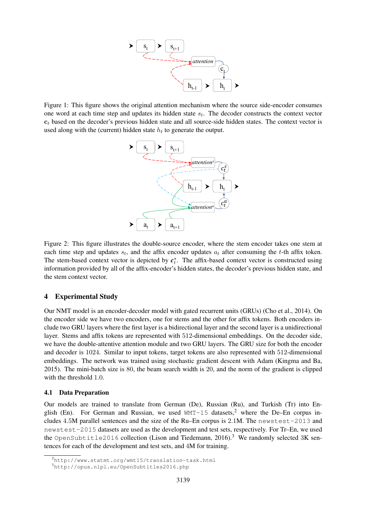

one word at each time step and updates its hidden state  $s_t$ . The decoder constructs the context vector used along with the (current) hidden state  $h_t$  to generate the output. Figure 1: This figure shows the original attention mechanism where the source side-encoder consumes  $c_t$  based on the decoder's previous hidden state and all source-side hidden states. The context vector is



Figure 2: This figure illustrates the double-source encoder, where the stem encoder takes one stem at each time step and updates  $s_t$ , and the affix encoder updates  $a_t$  after consuming the t-th affix token. The stem-based context vector is depicted by  $c_t^s$ . The affix-based context vector is constructed using information provided by all of the affix-encoder's hidden states, the decoder's previous hidden state, and the stem context vector.

# 4 Experimental Study

Our NMT model is an encoder-decoder model with gated recurrent units (GRUs) (Cho et al., 2014). On the encoder side we have two encoders, one for stems and the other for affix tokens. Both encoders include two GRU layers where the first layer is a bidirectional layer and the second layer is a unidirectional layer. Stems and affix tokens are represented with 512-dimensional embeddings. On the decoder side, we have the double-attentive attention module and two GRU layers. The GRU size for both the encoder and decoder is 1024. Similar to input tokens, target tokens are also represented with 512-dimensional embeddings. The network was trained using stochastic gradient descent with Adam (Kingma and Ba, 2015). The mini-batch size is 80, the beam search width is 20, and the norm of the gradient is clipped with the threshold 1.0.

### 4.1 Data Preparation

Our models are trained to translate from German (De), Russian (Ru), and Turkish (Tr) into English (En). For German and Russian, we used  $WMT-15$  datasets,<sup>2</sup> where the De–En corpus includes 4.5M parallel sentences and the size of the Ru–En corpus is 2.1M. The newstest-2013 and newstest-2015 datasets are used as the development and test sets, respectively. For Tr–En, we used the OpenSubtitle2016 collection (Lison and Tiedemann, 2016).<sup>3</sup> We randomly selected 3K sentences for each of the development and test sets, and 4M for training.

<sup>2</sup>http://www.statmt.org/wmt15/translation-task.html

<sup>3</sup>http://opus.nlpl.eu/OpenSubtitles2016.php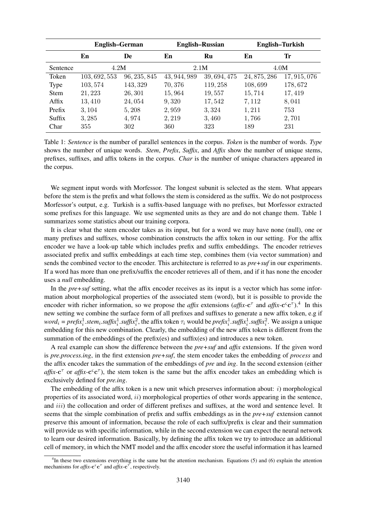|             | <b>English–German</b> |              | <b>English-Russian</b> |              | English-Turkish |              |
|-------------|-----------------------|--------------|------------------------|--------------|-----------------|--------------|
|             | En                    | De           | En                     | Ru           | En              | Tr           |
| Sentence    | 4.2M                  |              | 2.1M                   |              | 4.0M            |              |
| Token       | 103, 692, 553         | 96, 235, 845 | 43, 944, 989           | 39, 694, 475 | 24, 875, 286    | 17, 915, 076 |
| <b>Type</b> | 103, 574              | 143, 329     | 70,376                 | 119, 258     | 108,699         | 178,672      |
| <b>Stem</b> | 21, 223               | 26,301       | 15,964                 | 19,557       | 15,714          | 17,419       |
| Affix       | 13,410                | 24,054       | 9,320                  | 17,542       | 7,112           | 8,041        |
| Prefix      | 3,104                 | 5,208        | 2,959                  | 3,324        | 1,211           | 753          |
| Suffix      | 3,285                 | 4,974        | 2,219                  | 3,460        | 1,766           | 2,701        |
| Char        | 355                   | 302          | 360                    | 323          | 189             | 231          |

Table 1: *Sentence* is the number of parallel sentences in the corpus. *Token* is the number of words. *Type* shows the number of unique words. *Stem*, *Prefix*, *Suffix*, and *Affix* show the number of unique stems, prefixes, suffixes, and affix tokens in the corpus. *Char* is the number of unique characters appeared in the corpus.

We segment input words with Morfessor. The longest subunit is selected as the stem. What appears before the stem is the prefix and what follows the stem is considered as the suffix. We do not postprocess Morfessor's output, e.g. Turkish is a suffix-based language with no prefixes, but Morfessor extracted some prefixes for this language. We use segmented units as they are and do not change them. Table 1 summarizes some statistics about our training corpora.

It is clear what the stem encoder takes as its input, but for a word we may have none (null), one or many prefixes and suffixes, whose combination constructs the affix token in our setting. For the affix encoder we have a look-up table which includes prefix and suffix embeddings. The encoder retrieves associated prefix and suffix embeddings at each time step, combines them (via vector summation) and sends the combined vector to the encoder. This architecture is referred to as *pre+suf* in our experiments. If a word has more than one prefix/suffix the encoder retrieves all of them, and if it has none the encoder uses a *null* embedding.

In the *pre+suf* setting, what the affix encoder receives as its input is a vector which has some information about morphological properties of the associated stem (word), but it is possible to provide the encoder with richer information, so we propose the *affix* extensions (*affix*- $c^{\tau}$  and *affix*- $c^{\varsigma}c^{\tau}$ ).<sup>4</sup> In this new setting we combine the surface form of all prefixes and suffixes to generate a new affix token, e.g if  $word_i = prefix_i^1.start_i.suffix_i^1.suffix_i^2$ , the affix token  $\tau_i$  would be  $prefix_i^1.suffix_i^1.suffix_i^2$ . We assign a unique embedding for this new combination. Clearly, the embedding of the new affix token is different from the summation of the embeddings of the prefix(es) and suffix(es) and introduces a new token.

A real example can show the difference between the *pre+suf* and *affix* extensions. If the given word is *pre.process.ing*, in the first extension *pre+suf*, the stem encoder takes the embedding of *process* and the affix encoder takes the summation of the embeddings of *pre* and *ing*. In the second extension (either  $affix-c^{\tau}$  or *affix-c*<sup>c</sup> $c^{\tau}$ ), the stem token is the same but the affix encoder takes an embedding which is exclusively defined for *pre.ing*.

The embedding of the affix token is a new unit which preserves information about:  $i)$  morphological properties of its associated word,  $ii)$  morphological properties of other words appearing in the sentence, and *iii*) the collocation and order of different prefixes and suffixes, at the word and sentence level. It seems that the simple combination of prefix and suffix embeddings as in the *pre+suf* extension cannot preserve this amount of information, because the role of each suffix/prefix is clear and their summation will provide us with specific information, while in the second extension we can expect the neural network to learn our desired information. Basically, by defining the affix token we try to introduce an additional cell of memory, in which the NMT model and the affix encoder store the useful information it has learned

<sup>&</sup>lt;sup>4</sup>In these two extensions everything is the same but the attention mechanism. Equations (5) and (6) explain the attention mechanisms for  $affix$ -**c**<sup> $\infty$ </sup>**<sup>** $\infty$ **</sup>** and  $affix$ -**c**<sup> $\infty$ </sup>**,** respectively.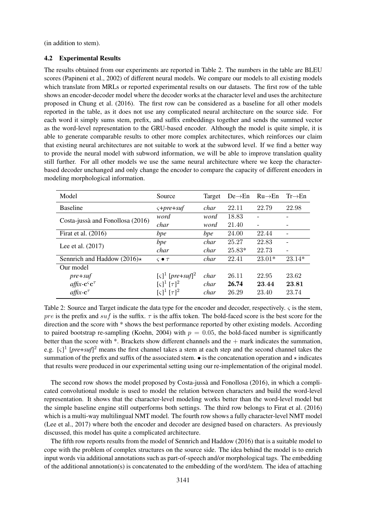(in addition to stem).

#### 4.2 Experimental Results

The results obtained from our experiments are reported in Table 2. The numbers in the table are BLEU scores (Papineni et al., 2002) of different neural models. We compare our models to all existing models which translate from MRLs or reported experimental results on our datasets. The first row of the table shows an encoder-decoder model where the decoder works at the character level and uses the architecture proposed in Chung et al. (2016). The first row can be considered as a baseline for all other models reported in the table, as it does not use any complicated neural architecture on the source side. For each word it simply sums stem, prefix, and suffix embeddings together and sends the summed vector as the word-level representation to the GRU-based encoder. Although the model is quite simple, it is able to generate comparable results to other more complex architectures, which reinforces our claim that existing neural architectures are not suitable to work at the subword level. If we find a better way to provide the neural model with subword information, we will be able to improve translation quality still further. For all other models we use the same neural architecture where we keep the characterbased decoder unchanged and only change the encoder to compare the capacity of different encoders in modeling morphological information.

| Model                                  | Source                                                  | Target | $De \rightarrow En$ | $Ru\rightarrow En$       | $Tr \rightarrow En$ |
|----------------------------------------|---------------------------------------------------------|--------|---------------------|--------------------------|---------------------|
| <b>Baseline</b>                        | $\varsigma$ +pre+suf                                    | char   | 22.11               | 22.79                    | 22.98               |
| Costa-jussà and Fonollosa (2016)       | word                                                    | word   | 18.83               |                          |                     |
|                                        | char                                                    | word   | 21.40               | $\overline{\phantom{a}}$ |                     |
| Firat et al. $(2016)$                  | bpe                                                     | bpe    | 24.00               | 22.44                    |                     |
| Lee et al. (2017)                      | bpe                                                     | char   | 25.27               | 22.83                    |                     |
|                                        | char                                                    | char   | $25.83*$            | 22.73                    |                     |
| Sennrich and Haddow (2016) $\star$     | $\varsigma \bullet \tau$                                | char   | 22.41               | $23.01*$                 | $23.14*$            |
| Our model                              |                                                         |        |                     |                          |                     |
| $pre+suf$                              | $\lceil \varsigma \rceil^1$ [pre+suf] <sup>2</sup>      | char   | 26.11               | 22.95                    | 23.62               |
| $affx\text{-}c\textsuperscript{c}$     | $\lbrack \varsigma \rbrack^1 \, \lbrack \tau \rbrack^2$ | char   | 26.74               | 23.44                    | 23.81               |
| $affix-c$ <sup><math>\tau</math></sup> | $\lbrack \varsigma \rbrack^1 \, \lbrack \tau \rbrack^2$ | char   | 26.29               | 23.40                    | 23.74               |

Table 2: Source and Target indicate the data type for the encoder and decoder, respectively. ς is the stem, pre is the prefix and suf is the suffix.  $\tau$  is the affix token. The bold-faced score is the best score for the direction and the score with \* shows the best performance reported by other existing models. According to paired bootstrap re-sampling (Koehn, 2004) with  $p = 0.05$ , the bold-faced number is significantly better than the score with \*. Brackets show different channels and the + mark indicates the summation, e.g.  $\lbrack \zeta \rbrack^1$  [*pre*+*suf*]<sup>2</sup> means the first channel takes a stem at each step and the second channel takes the summation of the prefix and suffix of the associated stem.  $\bullet$  is the concatenation operation and  $\star$  indicates that results were produced in our experimental setting using our re-implementation of the original model.

The second row shows the model proposed by Costa-jussà and Fonollosa (2016), in which a complicated convolutional module is used to model the relation between characters and build the word-level representation. It shows that the character-level modeling works better than the word-level model but the simple baseline engine still outperforms both settings. The third row belongs to Firat et al. (2016) which is a multi-way multilingual NMT model. The fourth row shows a fully character-level NMT model (Lee et al., 2017) where both the encoder and decoder are designed based on characters. As previously discussed, this model has quite a complicated architecture.

The fifth row reports results from the model of Sennrich and Haddow (2016) that is a suitable model to cope with the problem of complex structures on the source side. The idea behind the model is to enrich input words via additional annotations such as part-of-speech and/or morphological tags. The embedding of the additional annotation(s) is concatenated to the embedding of the word/stem. The idea of attaching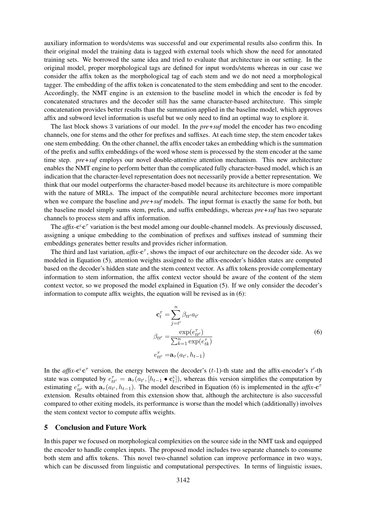auxiliary information to words/stems was successful and our experimental results also confirm this. In their original model the training data is tagged with external tools which show the need for annotated training sets. We borrowed the same idea and tried to evaluate that architecture in our setting. In the original model, proper morphological tags are defined for input words/stems whereas in our case we consider the affix token as the morphological tag of each stem and we do not need a morphological tagger. The embedding of the affix token is concatenated to the stem embedding and sent to the encoder. Accordingly, the NMT engine is an extension to the baseline model in which the encoder is fed by concatenated structures and the decoder still has the same character-based architecture. This simple concatenation provides better results than the summation applied in the baseline model, which approves affix and subword level information is useful but we only need to find an optimal way to explore it.

The last block shows 3 variations of our model. In the *pre+suf* model the encoder has two encoding channels, one for stems and the other for prefixes and suffixes. At each time step, the stem encoder takes one stem embedding. On the other channel, the affix encoder takes an embedding which is the summation of the prefix and suffix embeddings of the word whose stem is processed by the stem encoder at the same time step. *pre+suf* employs our novel double-attentive attention mechanism. This new architecture enables the NMT engine to perform better than the complicated fully character-based model, which is an indication that the character-level representation does not necessarily provide a better representation. We think that our model outperforms the character-based model because its architecture is more compatible with the nature of MRLs. The impact of the compatible neural architecture becomes more important when we compare the baseline and *pre+suf* models. The input format is exactly the same for both, but the baseline model simply sums stem, prefix, and suffix embeddings, whereas *pre+suf* has two separate channels to process stem and affix information.

The *affix*-c<sup>c</sup> c<sup>*T*</sup> variation is the best model among our double-channel models. As previously discussed, assigning a unique embedding to the combination of prefixes and suffixes instead of summing their embeddings generates better results and provides richer information.

The third and last variation, *affix*- $c^{\tau}$ , shows the impact of our architecture on the decoder side. As we modeled in Equation (5), attention weights assigned to the affix-encoder's hidden states are computed based on the decoder's hidden state and the stem context vector. As affix tokens provide complementary information to stem information, the affix context vector should be aware of the content of the stem context vector, so we proposed the model explained in Equation (5). If we only consider the decoder's information to compute affix weights, the equation will be revised as in (6):

$$
\mathbf{c}_t^{\tau} = \sum_{j=t'}^{n} \beta_{tt'} a_{t'}
$$
  
\n
$$
\beta_{tt'} = \frac{\exp(e_{tt'}^{\tau})}{\sum_{k=1}^{n} \exp(e_{tk}^{\tau})}
$$
  
\n
$$
e_{tt'}^{\tau} = \mathbf{a}_{\tau}(a_{t'}, h_{t-1})
$$
\n(6)

In the *affix*- $c^c c^{\tau}$  version, the energy between the decoder's (t-1)-th state and the affix-encoder's t'-th state was computed by  $e_{tt'}^{\tau} = \mathbf{a}_{\tau} (a_{t'}, [h_{t-1} \bullet \mathbf{c}_{t}^{\tau}])$ , whereas this version simplifies the computation by estimating  $e_{tt'}^{\tau}$  with  $\mathbf{a}_{\tau}(a_{t'}, h_{t-1})$ . The model described in Equation (6) is implemented in the *affix*-c<sup>7</sup> extension. Results obtained from this extension show that, although the architecture is also successful compared to other exiting models, its performance is worse than the model which (additionally) involves the stem context vector to compute affix weights.

### 5 Conclusion and Future Work

In this paper we focused on morphological complexities on the source side in the NMT task and equipped the encoder to handle complex inputs. The proposed model includes two separate channels to consume both stem and affix tokens. This novel two-channel solution can improve performance in two ways, which can be discussed from linguistic and computational perspectives. In terms of linguistic issues,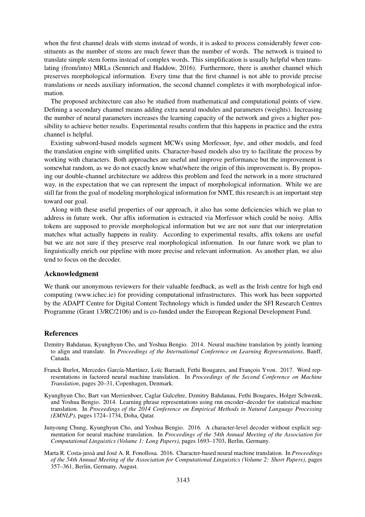when the first channel deals with stems instead of words, it is asked to process considerably fewer constituents as the number of stems are much fewer than the number of words. The network is trained to translate simple stem forms instead of complex words. This simplification is usually helpful when translating (from/into) MRLs (Sennrich and Haddow, 2016). Furthermore, there is another channel which preserves morphological information. Every time that the first channel is not able to provide precise translations or needs auxiliary information, the second channel completes it with morphological information.

The proposed architecture can also be studied from mathematical and computational points of view. Defining a secondary channel means adding extra neural modules and parameters (weights). Increasing the number of neural parameters increases the learning capacity of the network and gives a higher possibility to achieve better results. Experimental results confirm that this happens in practice and the extra channel is helpful.

Existing subword-based models segment MCWs using Morfessor, *bpe*, and other models, and feed the translation engine with simplified units. Character-based models also try to facilitate the process by working with characters. Both approaches are useful and improve performance but the improvement is somewhat random, as we do not exactly know what/where the origin of this improvement is. By proposing our double-channel architecture we address this problem and feed the network in a more structured way, in the expectation that we can represent the impact of morphological information. While we are still far from the goal of modeling morphological information for NMT, this research is an important step toward our goal.

Along with these useful properties of our approach, it also has some deficiencies which we plan to address in future work. Our affix information is extracted via Morfessor which could be noisy. Affix tokens are supposed to provide morphological information but we are not sure that our interpretation matches what actually happens in reality. According to experimental results, affix tokens are useful but we are not sure if they preserve real morphological information. In our future work we plan to linguistically enrich our pipeline with more precise and relevant information. As another plan, we also tend to focus on the decoder.

### Acknowledgment

We thank our anonymous reviewers for their valuable feedback, as well as the Irish centre for high end computing (www.ichec.ie) for providing computational infrastructures. This work has been supported by the ADAPT Centre for Digital Content Technology which is funded under the SFI Research Centres Programme (Grant 13/RC/2106) and is co-funded under the European Regional Development Fund.

### References

- Dzmitry Bahdanau, Kyunghyun Cho, and Yoshua Bengio. 2014. Neural machine translation by jointly learning to align and translate. In *Proceedings of the International Conference on Learning Representations*, Banff, Canada.
- Franck Burlot, Mercedes García-Martínez, Loïc Barrault, Fethi Bougares, and François Yvon. 2017. Word representations in factored neural machine translation. In *Proceedings of the Second Conference on Machine Translation*, pages 20–31, Copenhagen, Denmark.
- Kyunghyun Cho, Bart van Merrienboer, Caglar Gulcehre, Dzmitry Bahdanau, Fethi Bougares, Holger Schwenk, and Yoshua Bengio. 2014. Learning phrase representations using rnn encoder–decoder for statistical machine translation. In *Proceedings of the 2014 Conference on Empirical Methods in Natural Language Processing (EMNLP)*, pages 1724–1734, Doha, Qatar.
- Junyoung Chung, Kyunghyun Cho, and Yoshua Bengio. 2016. A character-level decoder without explicit segmentation for neural machine translation. In *Proceedings of the 54th Annual Meeting of the Association for Computational Linguistics (Volume 1: Long Papers)*, pages 1693–1703, Berlin, Germany.
- Marta R. Costa-jussà and José A. R. Fonollosa. 2016. Character-based neural machine translation. In *Proceedings of the 54th Annual Meeting of the Association for Computational Linguistics (Volume 2: Short Papers)*, pages 357–361, Berlin, Germany, August.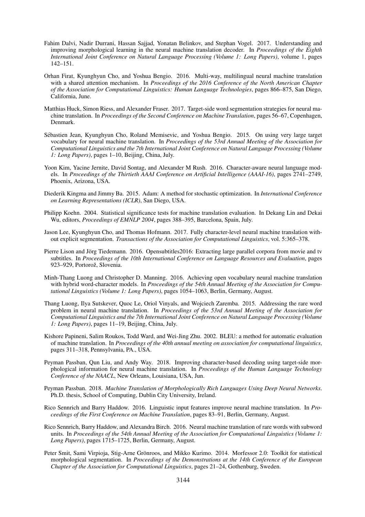- Fahim Dalvi, Nadir Durrani, Hassan Sajjad, Yonatan Belinkov, and Stephan Vogel. 2017. Understanding and improving morphological learning in the neural machine translation decoder. In *Proceedings of the Eighth International Joint Conference on Natural Language Processing (Volume 1: Long Papers)*, volume 1, pages 142–151.
- Orhan Firat, Kyunghyun Cho, and Yoshua Bengio. 2016. Multi-way, multilingual neural machine translation with a shared attention mechanism. In *Proceedings of the 2016 Conference of the North American Chapter of the Association for Computational Linguistics: Human Language Technologies*, pages 866–875, San Diego, California, June.
- Matthias Huck, Simon Riess, and Alexander Fraser. 2017. Target-side word segmentation strategies for neural machine translation. In *Proceedings of the Second Conference on Machine Translation*, pages 56–67, Copenhagen, Denmark.
- Sebastien Jean, Kyunghyun Cho, Roland Memisevic, and Yoshua Bengio. 2015. On using very large target ´ vocabulary for neural machine translation. In *Proceedings of the 53rd Annual Meeting of the Association for Computational Linguistics and the 7th International Joint Conference on Natural Language Processing (Volume 1: Long Papers)*, pages 1–10, Beijing, China, July.
- Yoon Kim, Yacine Jernite, David Sontag, and Alexander M Rush. 2016. Character-aware neural language models. In *Proceedings of the Thirtieth AAAI Conference on Artificial Intelligence (AAAI-16)*, pages 2741–2749, Phoenix, Arizona, USA.
- Diederik Kingma and Jimmy Ba. 2015. Adam: A method for stochastic optimization. In *International Conference on Learning Representations (ICLR)*, San Diego, USA.
- Philipp Koehn. 2004. Statistical significance tests for machine translation evaluation. In Dekang Lin and Dekai Wu, editors, *Proceedings of EMNLP 2004*, pages 388–395, Barcelona, Spain, July.
- Jason Lee, Kyunghyun Cho, and Thomas Hofmann. 2017. Fully character-level neural machine translation without explicit segmentation. *Transactions of the Association for Computational Linguistics*, vol. 5:365–378.
- Pierre Lison and Jörg Tiedemann. 2016. Opensubtitles 2016: Extracting large parallel corpora from movie and tv subtitles. In *Proceedings of the 10th International Conference on Language Resources and Evaluation*, pages 923–929, Portorož, Slovenia.
- Minh-Thang Luong and Christopher D. Manning. 2016. Achieving open vocabulary neural machine translation with hybrid word-character models. In *Proceedings of the 54th Annual Meeting of the Association for Computational Linguistics (Volume 1: Long Papers)*, pages 1054–1063, Berlin, Germany, August.
- Thang Luong, Ilya Sutskever, Quoc Le, Oriol Vinyals, and Wojciech Zaremba. 2015. Addressing the rare word problem in neural machine translation. In *Proceedings of the 53rd Annual Meeting of the Association for Computational Linguistics and the 7th International Joint Conference on Natural Language Processing (Volume 1: Long Papers)*, pages 11–19, Beijing, China, July.
- Kishore Papineni, Salim Roukos, Todd Ward, and Wei-Jing Zhu. 2002. BLEU: a method for automatic evaluation of machine translation. In *Proceedings of the 40th annual meeting on association for computational linguistics*, pages 311–318, Pennsylvania, PA., USA.
- Peyman Passban, Qun Liu, and Andy Way. 2018. Improving character-based decoding using target-side morphological information for neural machine translation. In *Proceedings of the Human Language Technology Conference of the NAACL*, New Orleans, Louisiana, USA, Jun.
- Peyman Passban. 2018. *Machine Translation of Morphologically Rich Languages Using Deep Neural Networks*. Ph.D. thesis, School of Computing, Dublin City University, Ireland.
- Rico Sennrich and Barry Haddow. 2016. Linguistic input features improve neural machine translation. In *Proceedings of the First Conference on Machine Translation*, pages 83–91, Berlin, Germany, August.
- Rico Sennrich, Barry Haddow, and Alexandra Birch. 2016. Neural machine translation of rare words with subword units. In *Proceedings of the 54th Annual Meeting of the Association for Computational Linguistics (Volume 1: Long Papers)*, pages 1715–1725, Berlin, Germany, August.
- Peter Smit, Sami Virpioja, Stig-Arne Grönroos, and Mikko Kurimo. 2014. Morfessor 2.0: Toolkit for statistical morphological segmentation. In *Proceedings of the Demonstrations at the 14th Conference of the European Chapter of the Association for Computational Linguistics*, pages 21–24, Gothenburg, Sweden.